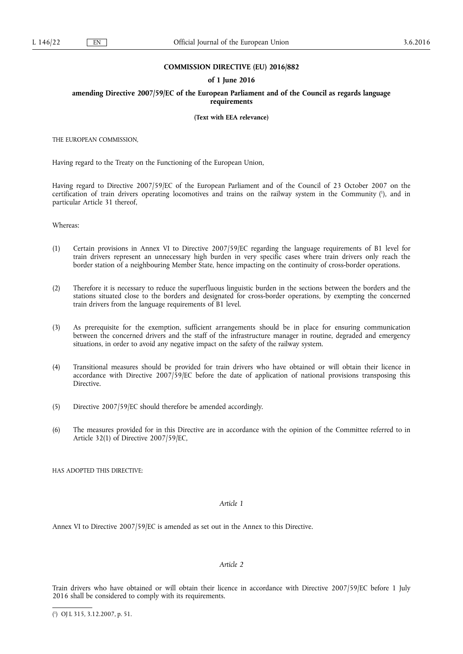# **COMMISSION DIRECTIVE (EU) 2016/882**

### **of 1 June 2016**

**amending Directive 2007/59/EC of the European Parliament and of the Council as regards language requirements** 

**(Text with EEA relevance)** 

THE EUROPEAN COMMISSION,

Having regard to the Treaty on the Functioning of the European Union,

Having regard to Directive 2007/59/EC of the European Parliament and of the Council of 23 October 2007 on the certification of train drivers operating locomotives and trains on the railway system in the Community ( 1 ), and in particular Article 31 thereof,

Whereas:

- (1) Certain provisions in Annex VI to Directive 2007/59/EC regarding the language requirements of B1 level for train drivers represent an unnecessary high burden in very specific cases where train drivers only reach the border station of a neighbouring Member State, hence impacting on the continuity of cross-border operations.
- (2) Therefore it is necessary to reduce the superfluous linguistic burden in the sections between the borders and the stations situated close to the borders and designated for cross-border operations, by exempting the concerned train drivers from the language requirements of B1 level.
- (3) As prerequisite for the exemption, sufficient arrangements should be in place for ensuring communication between the concerned drivers and the staff of the infrastructure manager in routine, degraded and emergency situations, in order to avoid any negative impact on the safety of the railway system.
- (4) Transitional measures should be provided for train drivers who have obtained or will obtain their licence in accordance with Directive 2007/59/EC before the date of application of national provisions transposing this Directive.
- (5) Directive 2007/59/EC should therefore be amended accordingly.
- (6) The measures provided for in this Directive are in accordance with the opinion of the Committee referred to in Article 32(1) of Directive 2007/59/EC,

HAS ADOPTED THIS DIRECTIVE:

# *Article 1*

Annex VI to Directive 2007/59/EC is amended as set out in the Annex to this Directive.

# *Article 2*

Train drivers who have obtained or will obtain their licence in accordance with Directive 2007/59/EC before 1 July 2016 shall be considered to comply with its requirements.

<sup>(</sup> 1 ) OJ L 315, 3.12.2007, p. 51.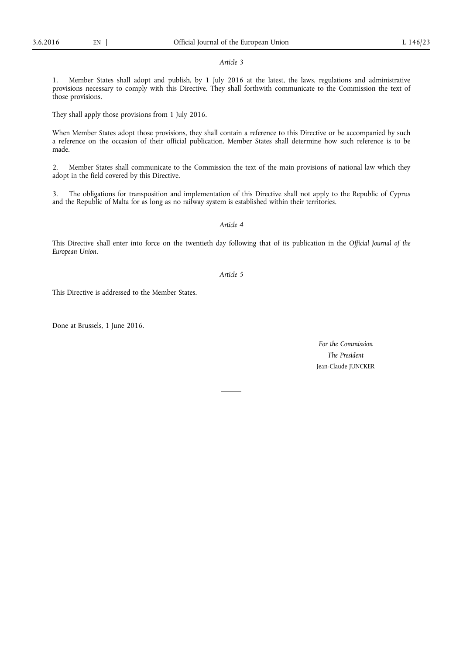#### *Article 3*

1. Member States shall adopt and publish, by 1 July 2016 at the latest, the laws, regulations and administrative provisions necessary to comply with this Directive. They shall forthwith communicate to the Commission the text of those provisions.

They shall apply those provisions from 1 July 2016.

When Member States adopt those provisions, they shall contain a reference to this Directive or be accompanied by such a reference on the occasion of their official publication. Member States shall determine how such reference is to be made.

2. Member States shall communicate to the Commission the text of the main provisions of national law which they adopt in the field covered by this Directive.

3. The obligations for transposition and implementation of this Directive shall not apply to the Republic of Cyprus and the Republic of Malta for as long as no railway system is established within their territories.

# *Article 4*

This Directive shall enter into force on the twentieth day following that of its publication in the *Official Journal of the European Union*.

# *Article 5*

This Directive is addressed to the Member States.

Done at Brussels, 1 June 2016.

*For the Commission The President*  Jean-Claude JUNCKER